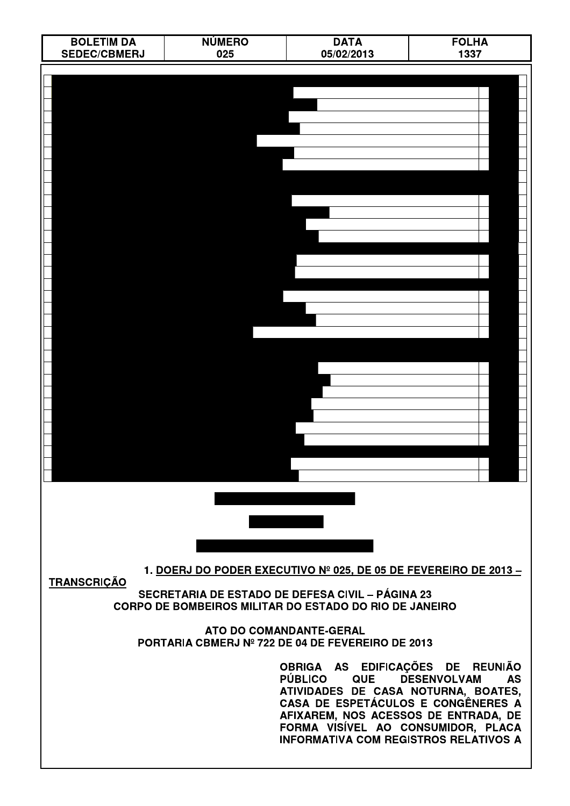| <b>BOLETIM DA</b>   | <b>NÚMERO</b><br>025 | <b>DATA</b><br>05/02/2013                                                                                                                                                                                                                                                   | <b>FOLHA</b>                    |
|---------------------|----------------------|-----------------------------------------------------------------------------------------------------------------------------------------------------------------------------------------------------------------------------------------------------------------------------|---------------------------------|
| <b>SEDEC/CBMERJ</b> |                      |                                                                                                                                                                                                                                                                             | 1337                            |
|                     |                      |                                                                                                                                                                                                                                                                             |                                 |
|                     |                      |                                                                                                                                                                                                                                                                             |                                 |
|                     |                      |                                                                                                                                                                                                                                                                             |                                 |
|                     |                      |                                                                                                                                                                                                                                                                             |                                 |
|                     |                      |                                                                                                                                                                                                                                                                             |                                 |
|                     |                      |                                                                                                                                                                                                                                                                             |                                 |
|                     |                      |                                                                                                                                                                                                                                                                             |                                 |
|                     |                      |                                                                                                                                                                                                                                                                             |                                 |
|                     |                      |                                                                                                                                                                                                                                                                             |                                 |
|                     |                      |                                                                                                                                                                                                                                                                             |                                 |
|                     |                      |                                                                                                                                                                                                                                                                             |                                 |
|                     |                      |                                                                                                                                                                                                                                                                             |                                 |
|                     |                      |                                                                                                                                                                                                                                                                             |                                 |
|                     |                      |                                                                                                                                                                                                                                                                             |                                 |
|                     |                      |                                                                                                                                                                                                                                                                             |                                 |
|                     |                      |                                                                                                                                                                                                                                                                             |                                 |
|                     |                      |                                                                                                                                                                                                                                                                             |                                 |
|                     |                      |                                                                                                                                                                                                                                                                             |                                 |
|                     |                      |                                                                                                                                                                                                                                                                             |                                 |
|                     |                      |                                                                                                                                                                                                                                                                             |                                 |
|                     |                      |                                                                                                                                                                                                                                                                             |                                 |
|                     |                      |                                                                                                                                                                                                                                                                             |                                 |
|                     |                      |                                                                                                                                                                                                                                                                             |                                 |
|                     |                      |                                                                                                                                                                                                                                                                             |                                 |
|                     |                      |                                                                                                                                                                                                                                                                             |                                 |
|                     |                      |                                                                                                                                                                                                                                                                             |                                 |
|                     |                      |                                                                                                                                                                                                                                                                             |                                 |
|                     |                      |                                                                                                                                                                                                                                                                             |                                 |
| <b>TRANSCRIÇÃO</b>  |                      | 1. DOERJ DO PODER EXECUTIVO Nº 025, DE 05 DE FEVEREIRO DE 2013 –                                                                                                                                                                                                            |                                 |
|                     |                      | SECRETARIA DE ESTADO DE DEFESA CIVIL - PÁGINA 23<br>CORPO DE BOMBEIROS MILITAR DO ESTADO DO RIO DE JANEIRO                                                                                                                                                                  |                                 |
|                     |                      | ATO DO COMANDANTE-GERAL<br>PORTARIA CBMERJ Nº 722 DE 04 DE FEVEREIRO DE 2013                                                                                                                                                                                                |                                 |
|                     |                      |                                                                                                                                                                                                                                                                             |                                 |
|                     |                      | OBRIGA AS EDIFICAÇÕES DE REUNIÃO<br><b>PÚBLICO</b><br><b>QUE</b><br>ATIVIDADES DE CASA NOTURNA, BOATES,<br>CASA DE ESPETÁCULOS E CONGÊNERES A<br>AFIXAREM, NOS ACESSOS DE ENTRADA, DE<br>FORMA VISÍVEL AO CONSUMIDOR, PLACA<br><b>INFORMATIVA COM REGISTROS RELATIVOS A</b> | <b>DESENVOLVAM</b><br><b>AS</b> |